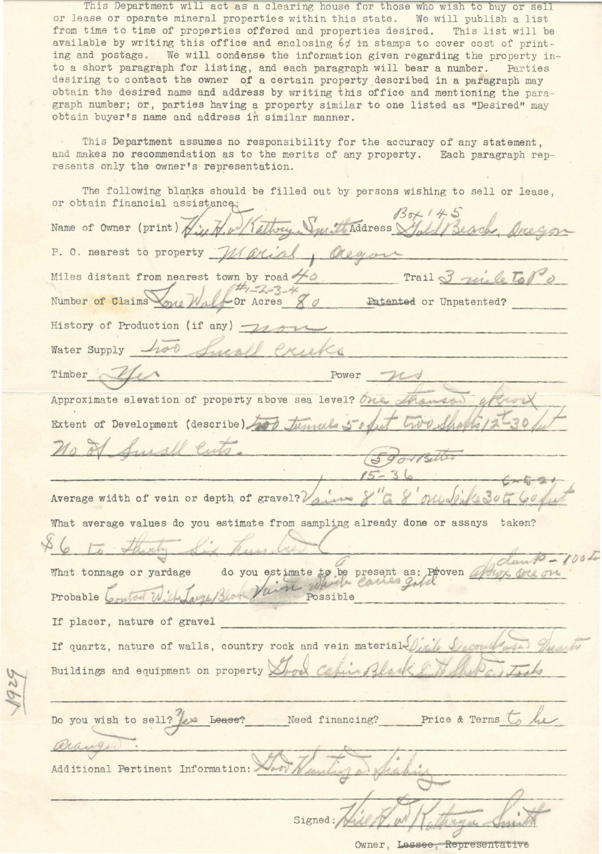This Department will act as a clearing house for those who wish to buy or sell or lease or operate mineral properties within this state. We will publish a list from time to time of properties offered and properties desired. This list will be available by writine this office and enclosing *6¢* in stamps to cover cost of printing and postage. We will condense the information given regarding the property into a short paragraph for listing, and each paragraph will bear a number. Parties desiring to contact the owner of a certain property described in a paragraph may obtain the desired name and address by writing this office and mentioning the paragraph number; or, parties having a property similar to one listed as "Desired" may obtain buyer's name and address in similar manner.

This Department assumes no responsibility for the accuracy of any statement, and makes no recommendation as to the merits of any property. Each paragraph represents only the owner's representation.

The following blanks should be filled out by persons wishing to sell or lease, or obtain financial assistance.

Name of Owner (print) Hip H. w/(altry. Vul Madress) P. O. nearest to property  $-M$  arial, Oregon Miles distant from nearest town by road  $\frac{\mu}{2}$  **Trail** 3 *rule* to po  $\frac{dH_1 - 2.3}{d}$   $\frac{d}{d}$  Datented or Unpatented? Number of Claims<sup>1</sup> History of Production (if any)  $\rightarrow$ Water Supply <u>has furthe exects</u> Timber *r --:'7/*  Power **C?**  Approximate elevation of property above sea level? One. Extent of Development (describe) (59 Average width of vein or depth of gravel? Variano What average values do you estimate from sampling already done or assays taken? do you estimate to be present as: Proven artist What tonnage or yardage est mate to be present as: Probable La Possible If placer, nature of gravel If quartz, nature of walls, country rock and vein material Buildings and equipment on property Do you wish to sell? <u>Jesu Lease? Need financing?</u> Price & Terms to he to<br>-**0**  *1*  • Additional Pertinent Information: Signed : *(/* 

Owner, Lessee, Representative